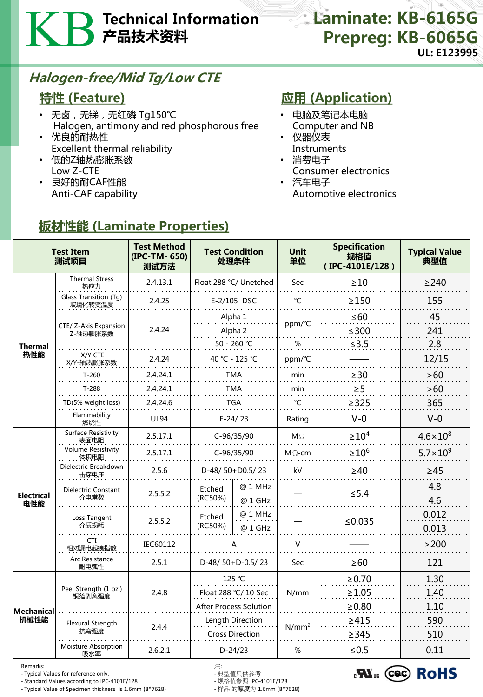# Technical Information 产品技术资料

## Laminate: KB-6165G Prepreg: KB-6065G UL: E123995

## Halogen-free/Mid Tg/Low CTE

#### 特性 (Feature)

- 无卤,无锑,无红磷 Tg150℃ Halogen, antimony and red phosphorous free
- 优良的耐热性 Excellent thermal reliability
- 低的Z轴热膨胀系数 Low Z-CTE
- 良好的耐CAF性能 Anti-CAF capability

## **应用 (Application)**

- 电脑及笔记本电脑 Computer and NB
- 仪器仪表 **Instruments**
- 消费电子 Consumer electronics
- 汽车电子 Automotive electronics

| <b>Test Item</b><br>测试项目  |                                   | <b>Test Method</b><br>(IPC-TM-650)<br>测试方法 | <b>Test Condition</b><br>处理条件       |                    | <b>Unit</b><br>单位 | <b>Specification</b><br>规格值<br>(IPC-4101E/128) | <b>Typical Value</b><br>典型值 |
|---------------------------|-----------------------------------|--------------------------------------------|-------------------------------------|--------------------|-------------------|------------------------------------------------|-----------------------------|
| <b>Thermal</b><br>热性能     | <b>Thermal Stress</b><br>热应力      | 2.4.13.1                                   | Float 288 °C/ Unetched              |                    | Sec               | $\geq 10$                                      | $\geq$ 240                  |
|                           | Glass Transition (Tg)<br>玻璃化转变温度  | 2.4.25                                     | E-2/105 DSC                         |                    | $\mathrm{C}$      | $\geq$ 150                                     | 155                         |
|                           | CTE/ Z-Axis Expansion<br>Z-轴热膨胀系数 | 2.4.24                                     |                                     | Alpha 1<br>Alpha 2 |                   | $\leq 60$<br>$≤300$                            | 45<br>241                   |
|                           |                                   |                                            | 50 - 260 ℃                          |                    | %                 | $≤3.5$                                         | 2.8                         |
|                           | X/Y CTE<br>X/Y-轴热膨胀系数             | 2.4.24                                     | 40 °C - 125 °C                      |                    | ppm/°C            |                                                | 12/15                       |
|                           | $T-260$                           | 2.4.24.1                                   | TMA                                 |                    | min               | $\geq$ 30                                      | >60                         |
|                           | $T-288$                           | 2.4.24.1                                   | TMA                                 |                    | min               | $\geq$ 5                                       | >60                         |
|                           | TD(5% weight loss)                | 2.4.24.6                                   | <b>TGA</b>                          |                    | $^{\circ}$ C      | $\geq$ 325                                     | 365                         |
|                           | Flammability<br>燃烧性               | <b>UL94</b>                                | $E-24/23$                           |                    | Rating            | $V-0$                                          | $V - 0$                     |
| <b>Electrical</b><br>电性能  | Surface Resistivity<br>表面电阻       | 2.5.17.1                                   | C-96/35/90                          |                    | $M\Omega$         | $\geq 10^4$                                    | $4.6 \times 10^{8}$         |
|                           | <b>Volume Resistivity</b><br>体积电阻 | 2.5.17.1                                   | C-96/35/90                          |                    | $M\Omega$ -cm     | $\geq 10^6$                                    | $5.7 \times 10^{9}$         |
|                           | Dielectric Breakdown<br>击穿电压      | 2.5.6                                      | D-48/50+D0.5/23                     |                    | kV                | $\geq 40$                                      | $\geq 45$                   |
|                           | Dielectric Constant<br>介电常数       | 2.5.5.2                                    | Etched<br>(RC50%)                   | @ 1 MHz<br>@ 1 GHz |                   | $\leq$ 5.4                                     | 4.8<br>4.6                  |
|                           | Loss Tangent<br>介质损耗              | 2.5.5.2                                    | Etched<br>(RC50%)                   | @ 1 MHz<br>@ 1 GHz |                   | ≤0.035                                         | 0.012<br>0.013              |
|                           | CTI<br>相对漏电起痕指数                   | IEC60112                                   | А                                   |                    | $\vee$            |                                                | >200                        |
|                           | Arc Resistance<br>耐电弧性            | 2.5.1                                      | D-48/50+D-0.5/23                    |                    | Sec               | $\geq 60$                                      | 121                         |
| <b>Mechanical</b><br>机械性能 | Peel Strength (1 oz.)<br>铜箔剥离强度   | 2.4.8                                      | 125 °C                              |                    | N/mm              | $\ge 0.70$                                     | 1.30                        |
|                           |                                   |                                            | Float 288 °C/ 10 Sec                |                    |                   | $\geq$ 1.05                                    | 1.40                        |
|                           |                                   |                                            | <b>After Process Solution</b>       |                    |                   | $\geq 0.80$                                    | 1.10                        |
|                           | Flexural Strength<br>抗弯强度         | 2.4.4                                      |                                     | Length Direction   | $N/mm^2$          | $\geq 415$                                     | 590                         |
|                           | Moisture Absorption<br>吸水率        | 2.6.2.1                                    | <b>Cross Direction</b><br>$D-24/23$ |                    | $\%$              | $\geq$ 345<br>$≤0.5$                           | 510<br>0.11                 |

## 板材性能 (Laminate Properties)

Remarks: 注:

- Typical Values for reference only. - 典型值只供参考

- Standard Values according to IPC-4101E/128 - 规格值参照 IPC-4101E/128 - Typical Value of Specimen thickness is 1.6mm (8\*7628)